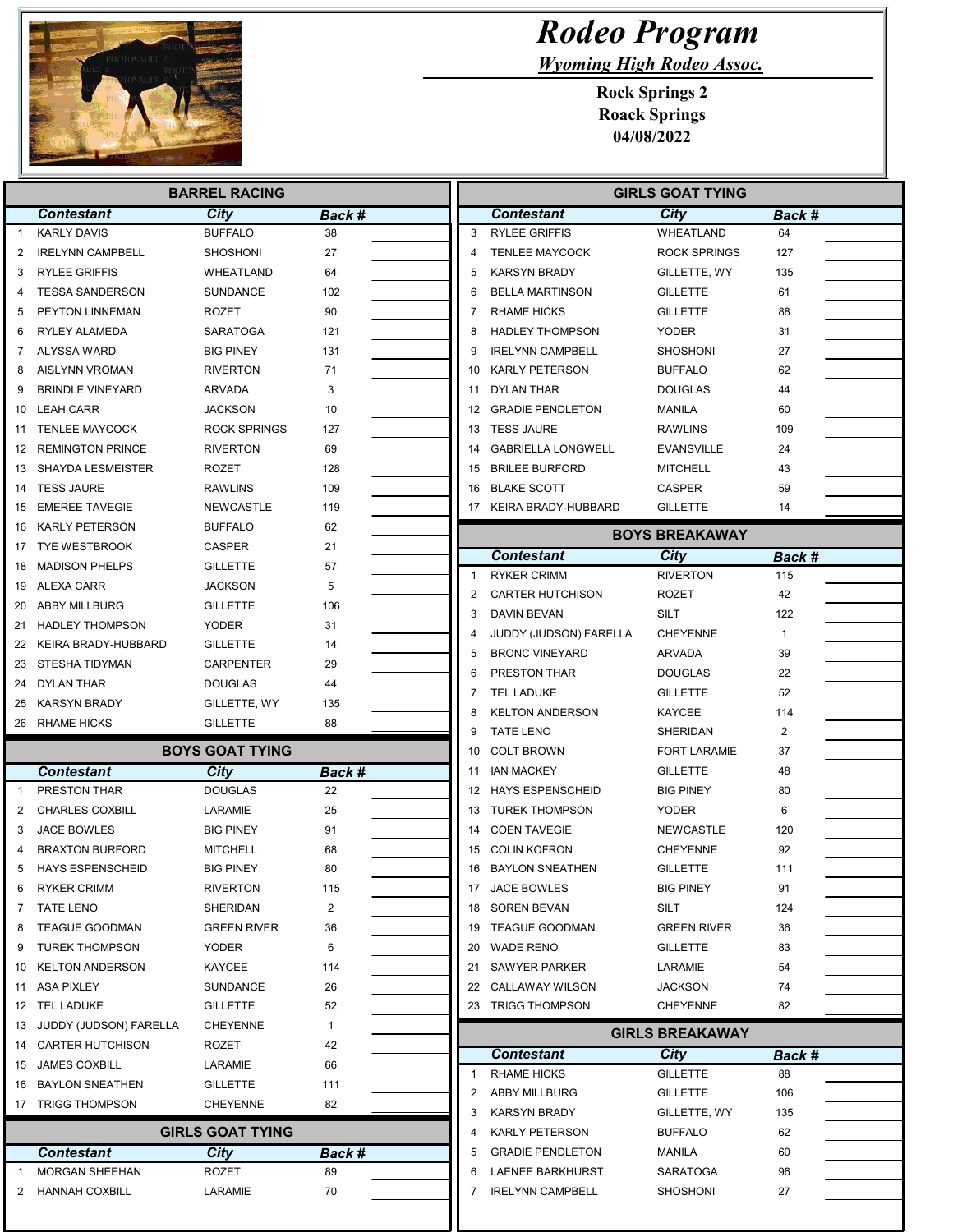

## Rodeo Program

Wyoming High Rodeo Assoc.

Rock Springs 2 Roack Springs 04/08/2022

| <b>BARREL RACING</b> |                                   |                         |              |                | <b>GIRLS GOAT TYING</b>                       |                        |              |  |
|----------------------|-----------------------------------|-------------------------|--------------|----------------|-----------------------------------------------|------------------------|--------------|--|
|                      | <b>Contestant</b>                 | <b>City</b>             | Back #       |                | <b>Contestant</b>                             | City                   | Back #       |  |
| $\mathbf{1}$         | <b>KARLY DAVIS</b>                | <b>BUFFALO</b>          | 38           | 3              | <b>RYLEE GRIFFIS</b>                          | <b>WHEATLAND</b>       | 64           |  |
| 2                    | <b>IRELYNN CAMPBELL</b>           | <b>SHOSHONI</b>         | 27           | 4              | <b>TENLEE MAYCOCK</b>                         | <b>ROCK SPRINGS</b>    | 127          |  |
| 3                    | <b>RYLEE GRIFFIS</b>              | WHEATLAND               | 64           | 5              | <b>KARSYN BRADY</b>                           | GILLETTE, WY           | 135          |  |
| 4                    | <b>TESSA SANDERSON</b>            | SUNDANCE                | 102          | 6              | <b>BELLA MARTINSON</b>                        | <b>GILLETTE</b>        | 61           |  |
| 5                    | PEYTON LINNEMAN                   | <b>ROZET</b>            | 90           | 7              | <b>RHAME HICKS</b>                            | <b>GILLETTE</b>        | 88           |  |
| 6                    | RYLEY ALAMEDA                     | SARATOGA                | 121          | 8              | <b>HADLEY THOMPSON</b>                        | <b>YODER</b>           | 31           |  |
| 7                    | ALYSSA WARD                       | <b>BIG PINEY</b>        | 131          | 9              | <b>IRELYNN CAMPBELL</b>                       | SHOSHONI               | 27           |  |
| 8                    | <b>AISLYNN VROMAN</b>             | <b>RIVERTON</b>         | 71           | 10             | <b>KARLY PETERSON</b>                         | <b>BUFFALO</b>         | 62           |  |
| 9                    | <b>BRINDLE VINEYARD</b>           | <b>ARVADA</b>           | 3            | 11             | DYLAN THAR                                    | <b>DOUGLAS</b>         | 44           |  |
| 10                   | <b>LEAH CARR</b>                  | <b>JACKSON</b>          | 10           | 12             | <b>GRADIE PENDLETON</b>                       | <b>MANILA</b>          | 60           |  |
| 11                   | <b>TENLEE MAYCOCK</b>             | <b>ROCK SPRINGS</b>     | 127          |                | 13 TESS JAURE                                 | <b>RAWLINS</b>         | 109          |  |
| 12                   | <b>REMINGTON PRINCE</b>           | <b>RIVERTON</b>         | 69           | 14             | <b>GABRIELLA LONGWELL</b>                     | <b>EVANSVILLE</b>      | 24           |  |
| 13                   | SHAYDA LESMEISTER                 | <b>ROZET</b>            | 128          | 15             | <b>BRILEE BURFORD</b>                         | MITCHELL               | 43           |  |
| 14                   | <b>TESS JAURE</b>                 | <b>RAWLINS</b>          | 109          | 16             | <b>BLAKE SCOTT</b>                            | <b>CASPER</b>          | 59           |  |
| 15                   | <b>EMEREE TAVEGIE</b>             | <b>NEWCASTLE</b>        | 119          |                | 17 KEIRA BRADY-HUBBARD                        | <b>GILLETTE</b>        | 14           |  |
| 16                   | KARLY PETERSON                    | <b>BUFFALO</b>          | 62           |                |                                               | <b>BOYS BREAKAWAY</b>  |              |  |
|                      | 17 TYE WESTBROOK                  | <b>CASPER</b>           | 21           |                |                                               |                        |              |  |
| 18                   | <b>MADISON PHELPS</b>             | <b>GILLETTE</b>         | 57           | $\overline{1}$ | <b>Contestant</b>                             | City                   | Back #       |  |
|                      | 19 ALEXA CARR                     | <b>JACKSON</b>          | 5            |                | <b>RYKER CRIMM</b><br><b>CARTER HUTCHISON</b> | <b>RIVERTON</b>        | 115          |  |
| 20                   | ABBY MILLBURG                     | <b>GILLETTE</b>         | 106          | 2              |                                               | <b>ROZET</b>           | 42           |  |
|                      | 21 HADLEY THOMPSON                | <b>YODER</b>            | 31           | 3              | DAVIN BEVAN                                   | SILT                   | 122          |  |
| 22                   | KEIRA BRADY-HUBBARD               | <b>GILLETTE</b>         | 14           | 4              | JUDDY (JUDSON) FARELLA                        | <b>CHEYENNE</b>        | $\mathbf{1}$ |  |
| 23                   | STESHA TIDYMAN                    | CARPENTER               | 29           | 5              | <b>BRONC VINEYARD</b>                         | <b>ARVADA</b>          | 39           |  |
| 24                   | DYLAN THAR                        | <b>DOUGLAS</b>          | 44           | 6              | <b>PRESTON THAR</b>                           | <b>DOUGLAS</b>         | 22           |  |
| 25                   | <b>KARSYN BRADY</b>               | GILLETTE, WY            | 135          | 7              | <b>TEL LADUKE</b>                             | GILLETTE               | 52           |  |
|                      | 26 RHAME HICKS                    | <b>GILLETTE</b>         | 88           | 8              | <b>KELTON ANDERSON</b>                        | <b>KAYCEE</b>          | 114          |  |
|                      |                                   |                         |              | 9              | <b>TATE LENO</b>                              | SHERIDAN               | 2            |  |
|                      |                                   | <b>BOYS GOAT TYING</b>  |              | 10             | <b>COLT BROWN</b>                             | <b>FORT LARAMIE</b>    | 37           |  |
|                      | <b>Contestant</b><br>PRESTON THAR | City<br><b>DOUGLAS</b>  | Back #<br>22 | 11             | <b>IAN MACKEY</b>                             | <b>GILLETTE</b>        | 48           |  |
| $\mathbf{1}$         |                                   |                         |              |                | 12 HAYS ESPENSCHEID                           | <b>BIG PINEY</b>       | 80           |  |
| 2                    | <b>CHARLES COXBILL</b>            | LARAMIE                 | 25           |                | 13 TUREK THOMPSON                             | <b>YODER</b>           | 6            |  |
| 3                    | JACE BOWLES                       | <b>BIG PINEY</b>        | 91           | 14             | <b>COEN TAVEGIE</b>                           | <b>NEWCASTLE</b>       | 120          |  |
| 4                    | <b>BRAXTON BURFORD</b>            | <b>MITCHELL</b>         | 68           | 15             | <b>COLIN KOFRON</b>                           | CHEYENNE               | 92           |  |
| 5                    | <b>HAYS ESPENSCHEID</b>           | <b>BIG PINEY</b>        | 80           | 16             | <b>BAYLON SNEATHEN</b>                        | <b>GILLETTE</b>        | 111          |  |
| 6                    | <b>RYKER CRIMM</b>                | <b>RIVERTON</b>         | 115          |                | 17 JACE BOWLES                                | <b>BIG PINEY</b>       | 91           |  |
| 7                    | <b>TATE LENO</b>                  | SHERIDAN                | 2            |                | 18 SOREN BEVAN                                | SILT                   | 124          |  |
| 8                    | <b>TEAGUE GOODMAN</b>             | <b>GREEN RIVER</b>      | 36           |                | 19 TEAGUE GOODMAN                             | <b>GREEN RIVER</b>     | 36           |  |
| 9                    | <b>TUREK THOMPSON</b>             | YODER                   | 6            |                | 20 WADE RENO                                  | <b>GILLETTE</b>        | 83           |  |
| 10                   | <b>KELTON ANDERSON</b>            | KAYCEE                  | 114          | 21             | <b>SAWYER PARKER</b>                          | LARAMIE                | 54           |  |
|                      | 11 ASA PIXLEY                     | SUNDANCE                | 26           |                | 22 CALLAWAY WILSON                            | JACKSON                | 74           |  |
|                      | 12 TEL LADUKE                     | <b>GILLETTE</b>         | 52           |                | 23 TRIGG THOMPSON                             | CHEYENNE               | 82           |  |
|                      | 13 JUDDY (JUDSON) FARELLA         | <b>CHEYENNE</b>         | $\mathbf{1}$ |                |                                               | <b>GIRLS BREAKAWAY</b> |              |  |
|                      | 14 CARTER HUTCHISON               | ROZET                   | 42           |                | <b>Contestant</b>                             | City                   | Back #       |  |
|                      | 15 JAMES COXBILL                  | LARAMIE                 | 66           | 1              | <b>RHAME HICKS</b>                            | <b>GILLETTE</b>        | 88           |  |
|                      | 16 BAYLON SNEATHEN                | <b>GILLETTE</b>         | 111          | 2              | <b>ABBY MILLBURG</b>                          | GILLETTE               | 106          |  |
|                      | 17 TRIGG THOMPSON                 | <b>CHEYENNE</b>         | 82           | 3              | <b>KARSYN BRADY</b>                           | GILLETTE, WY           | 135          |  |
|                      |                                   | <b>GIRLS GOAT TYING</b> |              | 4              | <b>KARLY PETERSON</b>                         | <b>BUFFALO</b>         | 62           |  |
|                      | <b>Contestant</b>                 | <b>City</b>             | Back #       | 5              | <b>GRADIE PENDLETON</b>                       | MANILA                 | 60           |  |
| -1                   | <b>MORGAN SHEEHAN</b>             | ROZET                   | 89           | 6              | LAENEE BARKHURST                              | SARATOGA               | 96           |  |
| 2                    | HANNAH COXBILL                    | LARAMIE                 | 70           | 7              | <b>IRELYNN CAMPBELL</b>                       | SHOSHONI               | 27           |  |
|                      |                                   |                         |              |                |                                               |                        |              |  |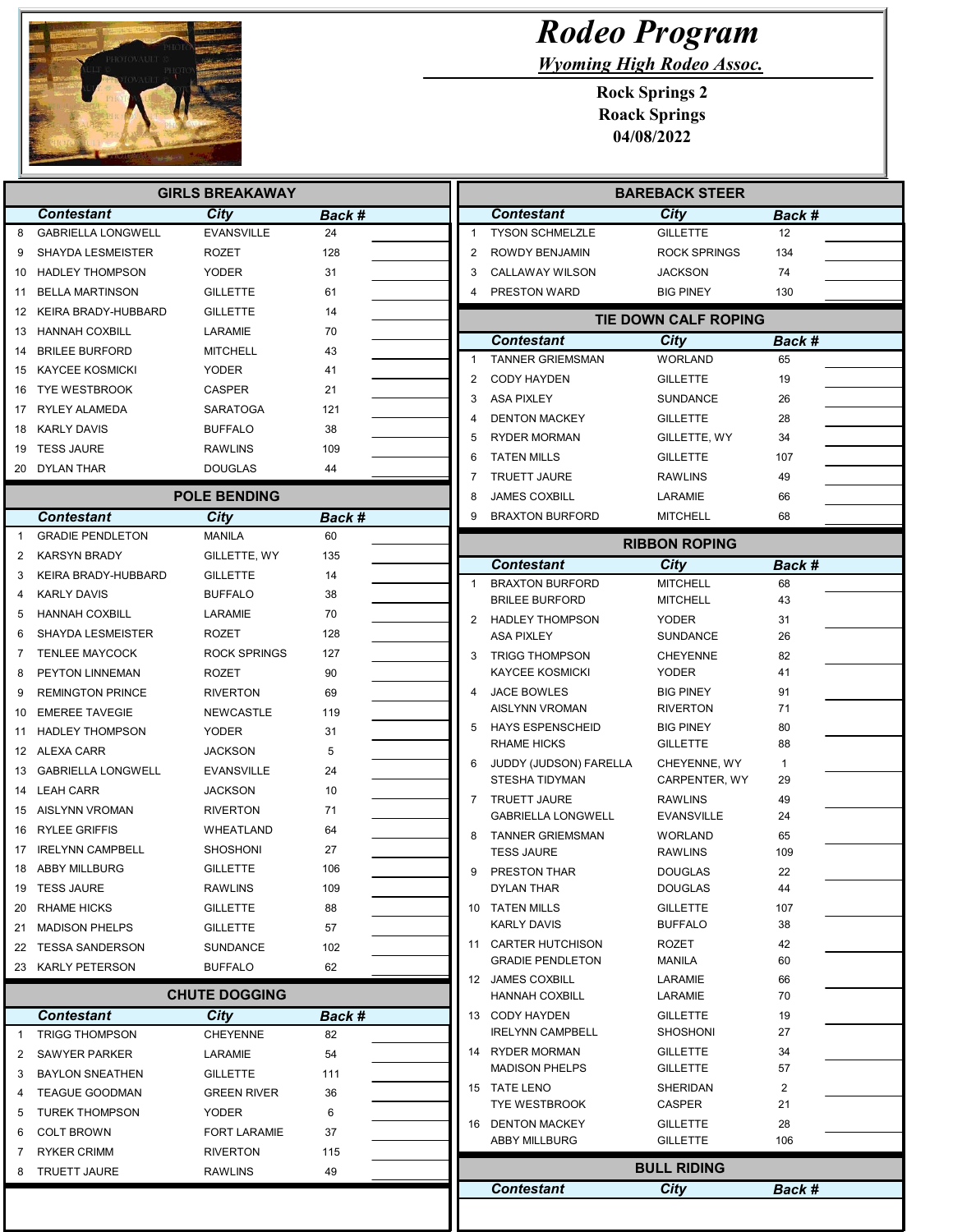

## Rodeo Program

Wyoming High Rodeo Assoc.

Rock Springs 2 Roack Springs 04/08/2022

| <b>GIRLS BREAKAWAY</b> |                                           |                                   |              | <b>BAREBACK STEER</b>                            |                                     |              |  |
|------------------------|-------------------------------------------|-----------------------------------|--------------|--------------------------------------------------|-------------------------------------|--------------|--|
|                        | <b>Contestant</b>                         | City                              | Back #       | <b>Contestant</b>                                | City                                | Back #       |  |
| 8                      | <b>GABRIELLA LONGWELL</b>                 | <b>EVANSVILLE</b>                 | 24           | <b>TYSON SCHMELZLE</b><br>1                      | <b>GILLETTE</b>                     | 12           |  |
| 9                      | <b>SHAYDA LESMEISTER</b>                  | <b>ROZET</b>                      | 128          | 2<br>ROWDY BENJAMIN                              | <b>ROCK SPRINGS</b>                 | 134          |  |
| 10                     | <b>HADLEY THOMPSON</b>                    | <b>YODER</b>                      | 31           | 3<br><b>CALLAWAY WILSON</b>                      | <b>JACKSON</b>                      | 74           |  |
| 11                     | <b>BELLA MARTINSON</b>                    | <b>GILLETTE</b>                   | 61           | PRESTON WARD                                     | <b>BIG PINEY</b>                    | 130          |  |
| 12                     | KEIRA BRADY-HUBBARD                       | <b>GILLETTE</b>                   | 14           |                                                  | TIE DOWN CALF ROPING                |              |  |
|                        | 13 HANNAH COXBILL                         | LARAMIE                           | 70           | <b>Contestant</b>                                | City                                |              |  |
|                        | 14 BRILEE BURFORD                         | <b>MITCHELL</b>                   | 43           | <b>TANNER GRIEMSMAN</b><br>1                     | <b>WORLAND</b>                      | Back #<br>65 |  |
|                        | 15 KAYCEE KOSMICKI                        | <b>YODER</b>                      | 41           | 2<br><b>CODY HAYDEN</b>                          | <b>GILLETTE</b>                     | 19           |  |
| 16                     | <b>TYE WESTBROOK</b>                      | <b>CASPER</b>                     | 21           | 3<br><b>ASA PIXLEY</b>                           | <b>SUNDANCE</b>                     | 26           |  |
| 17                     | RYLEY ALAMEDA                             | <b>SARATOGA</b>                   | 121          | 4                                                |                                     | 28           |  |
|                        | 18 KARLY DAVIS                            | <b>BUFFALO</b>                    | 38           | <b>DENTON MACKEY</b><br>5<br><b>RYDER MORMAN</b> | <b>GILLETTE</b>                     | 34           |  |
|                        | 19 TESS JAURE                             | <b>RAWLINS</b>                    | 109          |                                                  | GILLETTE, WY                        |              |  |
|                        | 20 DYLAN THAR                             | <b>DOUGLAS</b>                    | 44           | <b>TATEN MILLS</b><br>6                          | <b>GILLETTE</b>                     | 107          |  |
|                        |                                           | <b>POLE BENDING</b>               |              | <b>TRUETT JAURE</b><br>7<br><b>JAMES COXBILL</b> | <b>RAWLINS</b>                      | 49           |  |
|                        |                                           |                                   |              | 8<br>9                                           | LARAMIE                             | 66           |  |
| $\mathbf{1}$           | Contestant<br><b>GRADIE PENDLETON</b>     | City<br><b>MANILA</b>             | Back #<br>60 | <b>BRAXTON BURFORD</b>                           | <b>MITCHELL</b>                     | 68           |  |
|                        |                                           |                                   |              |                                                  | <b>RIBBON ROPING</b>                |              |  |
| 2                      | <b>KARSYN BRADY</b>                       | GILLETTE, WY                      | 135          | <b>Contestant</b>                                | City                                | Back #       |  |
| 3                      | KEIRA BRADY-HUBBARD<br><b>KARLY DAVIS</b> | <b>GILLETTE</b><br><b>BUFFALO</b> | 14<br>38     | <b>BRAXTON BURFORD</b><br>1                      | <b>MITCHELL</b>                     | 68           |  |
| 4                      |                                           |                                   |              | <b>BRILEE BURFORD</b>                            | <b>MITCHELL</b>                     | 43           |  |
| 5                      | <b>HANNAH COXBILL</b>                     | LARAMIE                           | 70           | $\overline{2}$<br><b>HADLEY THOMPSON</b>         | <b>YODER</b>                        | 31           |  |
| 6                      | <b>SHAYDA LESMEISTER</b>                  | <b>ROZET</b>                      | 128          | <b>ASA PIXLEY</b>                                | SUNDANCE                            | 26           |  |
| 7                      | <b>TENLEE MAYCOCK</b>                     | <b>ROCK SPRINGS</b>               | 127          | 3<br><b>TRIGG THOMPSON</b>                       | <b>CHEYENNE</b>                     | 82           |  |
| 8                      | PEYTON LINNEMAN                           | <b>ROZET</b>                      | 90           | <b>KAYCEE KOSMICKI</b>                           | YODER                               | 41           |  |
| 9                      | <b>REMINGTON PRINCE</b>                   | <b>RIVERTON</b>                   | 69           | <b>JACE BOWLES</b><br>4<br>AISLYNN VROMAN        | <b>BIG PINEY</b><br><b>RIVERTON</b> | 91<br>71     |  |
| 10                     | <b>EMEREE TAVEGIE</b>                     | <b>NEWCASTLE</b>                  | 119          | 5<br><b>HAYS ESPENSCHEID</b>                     | <b>BIG PINEY</b>                    | 80           |  |
|                        | <b>HADLEY THOMPSON</b>                    | <b>YODER</b>                      | 31           | <b>RHAME HICKS</b>                               | <b>GILLETTE</b>                     | 88           |  |
|                        | 12 ALEXA CARR                             | <b>JACKSON</b>                    | 5            | 6<br>JUDDY (JUDSON) FARELLA                      | CHEYENNE, WY                        | 1            |  |
| 13                     | GABRIELLA LONGWELL                        | <b>EVANSVILLE</b>                 | 24           | STESHA TIDYMAN                                   | CARPENTER, WY                       | 29           |  |
|                        | 14 LEAH CARR                              | <b>JACKSON</b>                    | 10           | <b>TRUETT JAURE</b><br>7                         | <b>RAWLINS</b>                      | 49           |  |
|                        | 15 AISLYNN VROMAN                         | <b>RIVERTON</b>                   | 71           | <b>GABRIELLA LONGWELL</b>                        | <b>EVANSVILLE</b>                   | 24           |  |
| 16                     | <b>RYLEE GRIFFIS</b>                      | WHEATLAND                         | 64           | 8<br><b>TANNER GRIEMSMAN</b>                     | WORLAND                             | 65           |  |
| 17                     | <b>IRELYNN CAMPBELL</b>                   | <b>SHOSHONI</b>                   | 27           | <b>TESS JAURE</b>                                | <b>RAWLINS</b>                      | 109          |  |
|                        | 18 ABBY MILLBURG                          | <b>GILLETTE</b>                   | 106          | 9<br>PRESTON THAR                                | <b>DOUGLAS</b>                      | 22           |  |
| 19                     | <b>TESS JAURE</b>                         | <b>RAWLINS</b>                    | 109          | DYLAN THAR                                       | <b>DOUGLAS</b>                      | 44           |  |
|                        | 20 RHAME HICKS                            | <b>GILLETTE</b>                   | 88           | 10 TATEN MILLS<br><b>KARLY DAVIS</b>             | <b>GILLETTE</b><br><b>BUFFALO</b>   | 107<br>38    |  |
|                        | 21 MADISON PHELPS                         | <b>GILLETTE</b>                   | 57           | 11 CARTER HUTCHISON                              |                                     |              |  |
|                        | 22 TESSA SANDERSON                        | <b>SUNDANCE</b>                   | 102          | <b>GRADIE PENDLETON</b>                          | ROZET<br>MANILA                     | 42<br>60     |  |
|                        | 23 KARLY PETERSON                         | <b>BUFFALO</b>                    | 62           | 12 JAMES COXBILL                                 | LARAMIE                             | 66           |  |
|                        |                                           | <b>CHUTE DOGGING</b>              |              | <b>HANNAH COXBILL</b>                            | LARAMIE                             | 70           |  |
|                        | <b>Contestant</b>                         | <b>City</b>                       | Back #       | 13 CODY HAYDEN                                   | <b>GILLETTE</b>                     | 19           |  |
| $\mathbf{1}$           | <b>TRIGG THOMPSON</b>                     | <b>CHEYENNE</b>                   | 82           | <b>IRELYNN CAMPBELL</b>                          | <b>SHOSHONI</b>                     | 27           |  |
| $\overline{2}$         | <b>SAWYER PARKER</b>                      | LARAMIE                           | 54           | 14 RYDER MORMAN                                  | <b>GILLETTE</b>                     | 34           |  |
| 3                      | <b>BAYLON SNEATHEN</b>                    | <b>GILLETTE</b>                   | 111          | <b>MADISON PHELPS</b>                            | <b>GILLETTE</b>                     | 57           |  |
| 4                      | <b>TEAGUE GOODMAN</b>                     | <b>GREEN RIVER</b>                | 36           | 15 TATE LENO                                     | SHERIDAN                            | 2            |  |
| 5                      | <b>TUREK THOMPSON</b>                     | <b>YODER</b>                      | 6            | <b>TYE WESTBROOK</b>                             | CASPER                              | 21           |  |
| 6                      | <b>COLT BROWN</b>                         | <b>FORT LARAMIE</b>               | 37           | 16 DENTON MACKEY                                 | <b>GILLETTE</b>                     | 28           |  |
| 7                      | <b>RYKER CRIMM</b>                        | <b>RIVERTON</b>                   | 115          | <b>ABBY MILLBURG</b>                             | <b>GILLETTE</b>                     | 106          |  |
| 8                      | TRUETT JAURE                              | <b>RAWLINS</b>                    | 49           |                                                  | <b>BULL RIDING</b>                  |              |  |
|                        |                                           |                                   |              |                                                  |                                     |              |  |